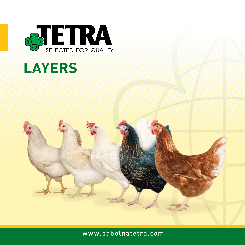

# **LAYERS**



www.babolnatetra.com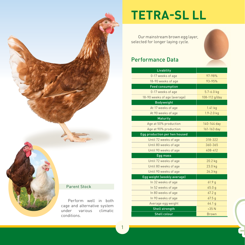

## **TETRA-SL LL**

Our mainstream brown egg layer, selected for longer laying cycle.



### Performance Data

| Livability                    |                   |
|-------------------------------|-------------------|
| 0-17 weeks of age             | 97-98%            |
| 18-90 weeks of age            | 93-95%            |
| <b>Feed consumption</b>       |                   |
| 0-17 weeks of age             | $5.7 - 6.0$ kg    |
| 18-90 weeks of age (average)  | 108-112 g/day     |
| <b>Bodyweight</b>             |                   |
| At 17 weeks of age            | $1.41$ kg         |
| At 90 weeks of age            | $1.9 - 2.0$ kg    |
| Maturity                      |                   |
| Age at 50% production         | 140-144 day       |
| Age at 90% production         | 161-163 day       |
| Egg production per hen housed |                   |
| Until 72 weeks of age         | 318-322           |
| Until 80 weeks of age         | 360-365           |
| Until 90 weeks of age         | 408-412           |
| Egg mass                      |                   |
| Until 72 weeks of age         | $20.2$ kg         |
| Until 80 weeks of age         | 23.0 kg           |
| Until 90 weeks of age         | 26.3 kg           |
| Egg weight (weekly average)   |                   |
| In 32 weeks of age            | 61.9 <sub>g</sub> |
| In 52 weeks of age            | 65.0q             |
| In 80 weeks of age            | 67.2q             |
| In 90 weeks of age            | 67.5q             |
| Average egg weight            | 64.1 g            |
| Shell strength                | >35N              |
| <b>Shell colour</b>           | <b>Brown</b>      |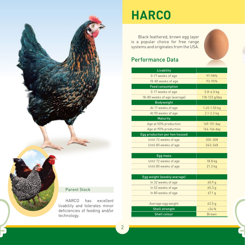

## **HARCO**

Black feathered, brown egg layer is a popular choice for free range systems and originates from the USA.



### Performance Data

| <b>Livability</b>             |                |
|-------------------------------|----------------|
| 0-17 weeks of age             | 97-98%         |
| 18-80 weeks of age            | 93-95%         |
| <b>Feed consumption</b>       |                |
| 0-17 weeks of age             | $5.8 - 6.0$ kg |
| 18-80 weeks of age (average)  | 118-123 g/day  |
| <b>Bodyweight</b>             |                |
| At 17 weeks of age            | 1.45-1.50 kg   |
| At 90 weeks of age            | $2.1 - 2.2$ kg |
| <b>Maturity</b>               |                |
| Age at 50% production         | 149-151 day    |
| Age at 90% production         | 164-166 day    |
| Egg production per hen housed |                |
| Until 72 weeks of age         | 305-308        |
| Until 80 weeks of age         | 343-348        |
|                               |                |
| Egg mass                      |                |
| Until 72 weeks of age         | 18.8 kg        |
| Until 80 weeks of age         | 21.3 kg        |
|                               |                |
| Egg weight (weekly average)   |                |
| In 32 weeks of age            | 60.9 g         |
| In 52 weeks of age            | 65.3q          |
| In 80 weeks of age            | 67.1q          |
|                               |                |
| Average egg weight            | 63.5g          |
| Shell strength                | $>34$ N        |
| <b>Shell colour</b>           | <b>Brown</b>   |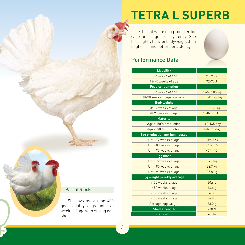## **TETRA L SUPERB**

Efficient white egg producer for cage and cage free systems. She has slightly heavier bodyweight than Leghorns and better persistency.



| <b>Livability</b>             |                   |
|-------------------------------|-------------------|
| 0-17 weeks of age             | 97-98%            |
| 18-90 weeks of age            | 92-93%            |
| <b>Feed consumption</b>       |                   |
| 0-17 weeks of age             | 5.45-5.85 kg      |
| 18-90 weeks of age (average)  | 105-110 g/day     |
| <b>Bodyweight</b>             |                   |
| At 17 weeks of age            | $1.2 - 1.30$ kg   |
| At 90 weeks of age            | 1.70-1.85 kg      |
| Maturity                      |                   |
| Age at 50% production         | 140-145 day       |
| Age at 90% production         | $161 - 163$ day   |
| Egg production per hen housed |                   |
| Until 72 weeks of age         | $319 - 323$       |
| Until 80 weeks of age         | 360-365           |
| Until 90 weeks of age         | 407-413           |
| Egg mass                      |                   |
| Until 72 weeks of age         | 19.9 kg           |
| Until 80 weeks of age         | 22.7 kg           |
| Until 90 weeks of age         | 25.8 kg           |
| Egg weight (weekly average)   |                   |
| In 32 weeks of age            | 60.6q             |
| In 52 weeks of age            | 64.4g             |
| In 80 weeks of age            | 66.3q             |
| In 90 weeks of age            | 66.8q             |
| Average egg weight            | 63.0 <sub>g</sub> |
| Shell strength                | $>38$ N           |
| <b>Shell colour</b>           | White             |

#### Parent Stock

She lays more than 400 good quality eggs until 90 weeks of age with strong egg shell.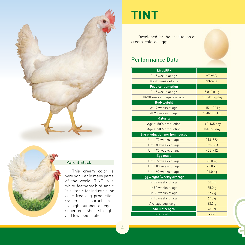



#### Parent Stock

This cream color is very popular in many parts of the world. TINT is a white-feathered bird, and it is suitable for industrial or cage free egg production systems, characterized by high number of eggs, super egg shell strength and low feed intake.

### **TINT**

Developed for the production of cream-colored eggs.



### Performance Data

| <b>Livability</b>             |                  |
|-------------------------------|------------------|
| 0-17 weeks of age             | 97-98%           |
| 18-90 weeks of age            | $93 - 94%$       |
| <b>Feed consumption</b>       |                  |
| 0-17 weeks of age             | $5.8 - 6.0$ kg   |
| 18-90 weeks of age (average)  | 105-110 g/day    |
| <b>Bodyweight</b>             |                  |
| At 17 weeks of age            | $1.15 - 1.30$ kg |
| At 90 weeks of age            | $1.70 - 1.85$ kg |
| Maturity                      |                  |
| Age at 50% production         | 140-145 day      |
| Age at 90% production         | 161-163 day      |
| Egg production per hen housed |                  |
| Until 72 weeks of age         | 318-322          |
| Until 80 weeks of age         | 359-363          |
| Until 90 weeks of age         | 408-412          |
| Egg mass                      |                  |
| Until 72 weeks of age         | 20.0 kg          |
| Until 80 weeks of age         | 22.8 kg          |
| Until 90 weeks of age         | $26.0$ kg        |
| Egg weight (weekly average)   |                  |
| In 32 weeks of age            | 60.7 g           |
| In 52 weeks of age            | 65.0q            |
| In 80 weeks of age            | 67.2q            |
| In 90 weeks of age            | 67.5q            |
| Average egg weight            | 63.3q            |
| Shell strength                | $>37$ N          |
| <b>Shell colour</b>           | <b>Tinted</b>    |